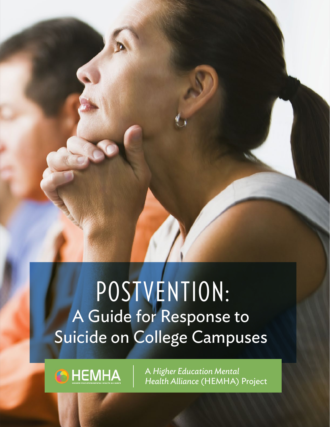# POSTVENTION: A Guide for Response to Suicide on College Campuses

**O** HEMHA

A *Higher Education Mental Health Alliance* (HEMHA) Project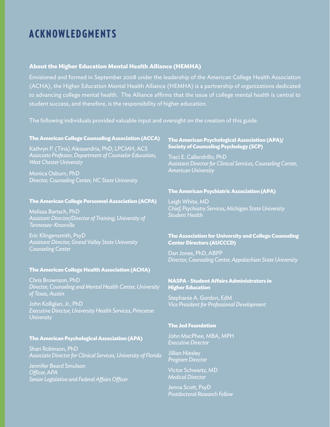# ACKNOWLEDGMENTS

### **About the Higher Education Mental Health Alliance (HEMHA)**

Envisioned and formed in September 2008 under the leadership of the American College Health Association (ACHA), the Higher Education Mental Health Alliance (HEMHA) is a partnership of organizations dedicated to advancing college mental health. The Alliance affirms that the issue of college mental health is central to student success, and therefore, is the responsibility of higher education.

The following individuals provided valuable input and oversight on the creation of this guide.

#### **The American College Counseling Association (ACCA)**

Kathryn P. (Tina) Alessandria, PhD, LPCMH, ACS *Associate Professor, Department of Counselor Education, West Chester University*

Monica Osburn, PhD *Director, Counseling Center, NC State University*

#### **The American College Personnel Association (ACPA)**

Melissa Bartsch, PhD *Assistant Director/Director of Training, University of Tennessee-Knoxville*

Eric Klingensmith, PsyD *Assistant Director, Grand Valley State University Counseling Center*

#### **The American College Health Association (ACHA)**

Chris Brownson, PhD *Director, Counseling and Mental Health Center, University of Texas, Austin*

John Kolligian, Jr., PhD *Executive Director, University Health Services, Princeton University*

#### **The American Psychological Association (APA)**

Shari Robinson, PhD *Associate Director for Clinical Services, University of Florida* 

Jennifer Beard Smulson *Officer, APA Senior Legislative and Federal Affairs Officer*

#### **The American Psychological Association (APA)/ Society of Counseling Psychology (SCP)**

Traci E. Callandrillo, PhD *Assistant Director for Clinical Services, Counseling Center, American University*

#### **The American Psychiatric Association (APA)**

Leigh White, MD *Chief, Psychiatry Services, Michigan State University Student Health* 

#### **The Association for University and College Counseling Center Directors (AUCCCD)**

Dan Jones, PhD, ABPP *Director, Counseling Center, Appalachian State University*

#### **NASPA - Student Affairs Administrators in Higher Education**

Stephanie A. Gordon, EdM *Vice President for Professional Development*

#### **The Jed Foundation**

John MacPhee, MBA, MPH *Executive Director*

Jillian Niesley *Program Director*

Victor Schwartz, MD *Medical Director*

Jenna Scott, PsyD *Postdoctoral Research Fellow*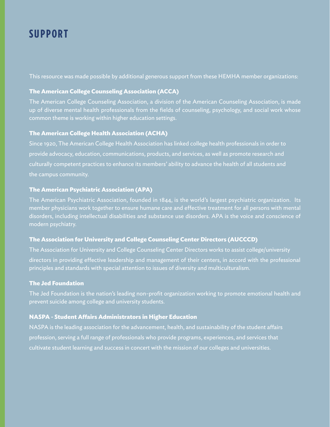# SUPPORT

This resource was made possible by additional generous support from these HEMHA member organizations:

### **The American College Counseling Association (ACCA)**

The American College Counseling Association, a division of the American Counseling Association, is made up of diverse mental health professionals from the fields of counseling, psychology, and social work whose common theme is working within higher education settings.

### **The American College Health Association (ACHA)**

Since 1920, The American College Health Association has linked college health professionals in order to provide advocacy, education, communications, products, and services, as well as promote research and culturally competent practices to enhance its members' ability to advance the health of all students and the campus community.

### **The American Psychiatric Association (APA)**

The American Psychiatric Association, founded in 1844, is the world's largest psychiatric organization. Its member physicians work together to ensure humane care and effective treatment for all persons with mental disorders, including intellectual disabilities and substance use disorders. APA is the voice and conscience of modern psychiatry.

### **The Association for University and College Counseling Center Directors (AUCCCD)**

The Association for University and College Counseling Center Directors works to assist college/university directors in providing effective leadership and management of their centers, in accord with the professional principles and standards with special attention to issues of diversity and multiculturalism.

### **The Jed Foundation**

The Jed Foundation is the nation's leading non-profit organization working to promote emotional health and prevent suicide among college and university students.

### **NASPA - Student Affairs Administrators in Higher Education**

NASPA is the leading association for the advancement, health, and sustainability of the student affairs profession, serving a full range of professionals who provide programs, experiences, and services that cultivate student learning and success in concert with the mission of our colleges and universities.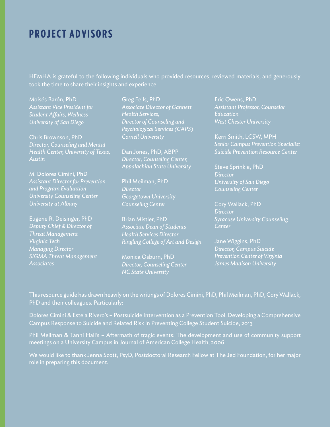# PROJECT ADVISORS

HEMHA is grateful to the following individuals who provided resources, reviewed materials, and generously took the time to share their insights and experience.

Moisés Barón, PhD *Assistant Vice President for Student Affairs, Wellness University of San Diego*

Chris Brownson, PhD *Director, Counseling and Mental Health Center, University of Texas, Austin*

M. Dolores Cimini, PhD *Assistant Director for Prevention and Program Evaluation University Counseling Center University at Albany*

Eugene R. Deisinger, PhD *Deputy Chief & Director of Threat Management Virginia Tech Managing Director SIGMA Threat Management Associates*

Greg Eells, PhD *Associate Director of Gannett Health Services, Director of Counseling and Psychological Services (CAPS) Cornell University*

Dan Jones, PhD, ABPP *Director, Counseling Center, Appalachian State University*

Phil Meilman, PhD *Director Georgetown University Counseling Center*

Brian Mistler, PhD *Associate Dean of Students Health Services Director Ringling College of Art and Design*

Monica Osburn, PhD *Director, Counseling Center NC State University*

Eric Owens, PhD *Assistant Professor, Counselor Education West Chester University*

Kerri Smith, LCSW, MPH *Senior Campus Prevention Specialist Suicide Prevention Resource Center*

Steve Sprinkle, PhD *Director University of San Diego Counseling Center*

Cory Wallack, PhD *Director Syracuse University Counseling Center*

Jane Wiggins, PhD *Director, Campus Suicide Prevention Center of Virginia James Madison University*

This resource guide has drawn heavily on the writings of Dolores Cimini, PhD, Phil Meilman, PhD, Cory Wallack, PhD and their colleagues. Particularly:

Dolores Cimini & Estela Rivero's – Postsuicide Intervention as a Prevention Tool: Developing a Comprehensive Campus Response to Suicide and Related Risk in Preventing College Student Suicide, 2013

Phil Meilman & Tanni Hall's – Aftermath of tragic events: The development and use of community support meetings on a University Campus in Journal of American College Health, 2006

We would like to thank Jenna Scott, PsyD, Postdoctoral Research Fellow at The Jed Foundation, for her major role in preparing this document.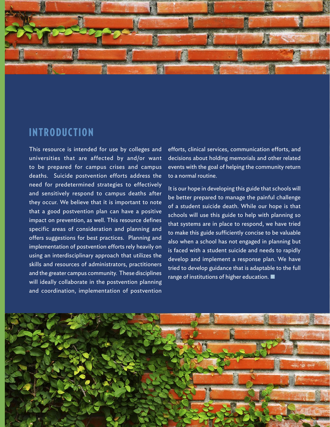

# INTRODUCTION

This resource is intended for use by colleges and universities that are affected by and/or want to be prepared for campus crises and campus deaths. Suicide postvention efforts address the need for predetermined strategies to effectively and sensitively respond to campus deaths after they occur. We believe that it is important to note that a good postvention plan can have a positive impact on prevention, as well. This resource defines specific areas of consideration and planning and offers suggestions for best practices. Planning and implementation of postvention efforts rely heavily on using an interdisciplinary approach that utilizes the skills and resources of administrators, practitioners and the greater campus community. These disciplines will ideally collaborate in the postvention planning and coordination, implementation of postvention

efforts, clinical services, communication efforts, and decisions about holding memorials and other related events with the goal of helping the community return to a normal routine.

It is our hope in developing this guide that schools will be better prepared to manage the painful challenge of a student suicide death. While our hope is that schools will use this guide to help with planning so that systems are in place to respond, we have tried to make this guide sufficiently concise to be valuable also when a school has not engaged in planning but is faced with a student suicide and needs to rapidly develop and implement a response plan. We have tried to develop guidance that is adaptable to the full range of institutions of higher education. ■

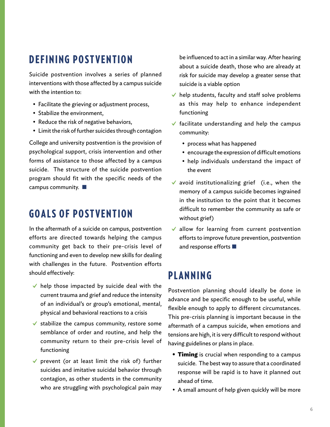# DEFINING POSTVENTION

Suicide postvention involves a series of planned interventions with those affected by a campus suicide with the intention to:

- Facilitate the grieving or adjustment process,
- Stabilize the environment,
- Reduce the risk of negative behaviors,
- Limit the risk of further suicides through contagion

College and university postvention is the provision of psychological support, crisis intervention and other forms of assistance to those affected by a campus suicide. The structure of the suicide postvention program should fit with the specific needs of the campus community. ■

# GOALS OF POSTVENTION

In the aftermath of a suicide on campus, postvention efforts are directed towards helping the campus community get back to their pre-crisis level of functioning and even to develop new skills for dealing with challenges in the future. Postvention efforts should effectively:

- $\checkmark$  help those impacted by suicide deal with the current trauma and grief and reduce the intensity of an individual's or group's emotional, mental, physical and behavioral reactions to a crisis
- $\checkmark$  stabilize the campus community, restore some semblance of order and routine, and help the community return to their pre-crisis level of functioning
- $\checkmark$  prevent (or at least limit the risk of) further suicides and imitative suicidal behavior through contagion, as other students in the community who are struggling with psychological pain may

be influenced to act in a similar way. After hearing about a suicide death, those who are already at risk for suicide may develop a greater sense that suicide is a viable option

- $\blacktriangleright$  help students, faculty and staff solve problems as this may help to enhance independent functioning
- $\checkmark$  facilitate understanding and help the campus community:
	- process what has happened
	- encourage the expression of difficult emotions
	- help individuals understand the impact of the event
- $\checkmark$  avoid institutionalizing grief (i.e., when the memory of a campus suicide becomes ingrained in the institution to the point that it becomes difficult to remember the community as safe or without grief)
- ✔ allow for learning from current postvention efforts to improve future prevention, postvention and response efforts ■

# PLANNING

Postvention planning should ideally be done in advance and be specific enough to be useful, while flexible enough to apply to different circumstances. This pre-crisis planning is important because in the aftermath of a campus suicide, when emotions and tensions are high, it is very difficult to respond without having guidelines or plans in place.

- **• Timing** is crucial when responding to a campus suicide. The best way to assure that a coordinated response will be rapid is to have it planned out ahead of time.
- A small amount of help given quickly will be more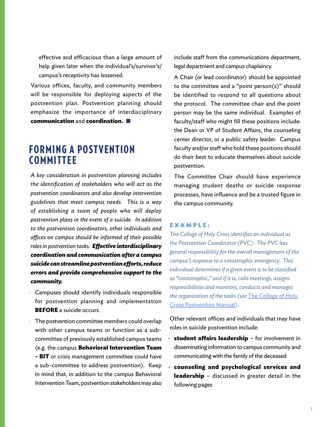effective and efficacious than a large amount of help given later when the individual's/survivor's/ campus's receptivity has lessened.

Various offices, faculty, and community members will be responsible for deploying aspects of the postvention plan. Postvention planning should emphasize the importance of interdisciplinary **communication** and **coordination.** ■

# FORMING A POSTVENTION COMMITTEE

*A key consideration in postvention planning includes the identification of stakeholders who will act as the postvention coordinators and also develop intervention guidelines that meet campus needs. This is a way of establishing a team of people who will deploy postvention plans in the event of a suicide. In addition to the postvention coordinators, other individuals and offices on campus should be informed of their possible roles in postvention tasks. Effective interdisciplinary coordination and communication after a campus suicide can streamline postvention efforts, reduce errors and provide comprehensive support to the community.* 

- Campuses should identify individuals responsible for postvention planning and implementation **BEFORE** a suicide occurs.
- The postvention committee members could overlap with other campus teams or function as a subcommittee of previously established campus teams (e.g. the campus **Behavioral Intervention Team – BIT** or crisis management committee could have a sub-committee to address postvention). Keep in mind that, in addition to the campus Behavioral Intervention Team, postvention stakeholders may also

include staff from the communications department, legal department and campus chaplaincy.

- A Chair (or lead coordinator) should be appointed to the committee and a "point person(s)" should be identified to respond to all questions about the protocol. The committee chair and the point person may be the same individual. Examples of faculty/staff who might fill these positions include: the Dean or VP of Student Affairs, the counseling center director, or a public safety leader. Campus faculty and/or staff who hold these positions should do their best to educate themselves about suicide postvention.
- The Committee Chair should have experience managing student deaths or suicide response processes, have influence and be a trusted figure in the campus community.

#### **EXAMPLE:**

*The College of Holy Cross identifies an individual as the Postvention Coordinator (PVC). The PVC has general responsibility for the overall management of the campus's response to a catastrophic emergency. This individual determines if a given event is to be classified as "catastrophic," and if it is, calls meetings, assigns responsibilities and monitors, conducts and manages the organization of the tasks (see* [The College of Holy](http://offices.holycross.edu/sites/all/modules/tinytinymce/tinymce/jscripts/tiny_mce/plugins/filemanager/files/emergency/PostventionManual2013-2014nno.pdf)  [Cross Postvention Manual](http://offices.holycross.edu/sites/all/modules/tinytinymce/tinymce/jscripts/tiny_mce/plugins/filemanager/files/emergency/PostventionManual2013-2014nno.pdf)*).* 

Other relevant offices and individuals that may have roles in suicide postvention include:

- **• student affairs leadership**  for involvement in disseminating information to campus community and communicating with the family of the deceased
- **• counseling and psychological services and leadership** – discussed in greater detail in the following pages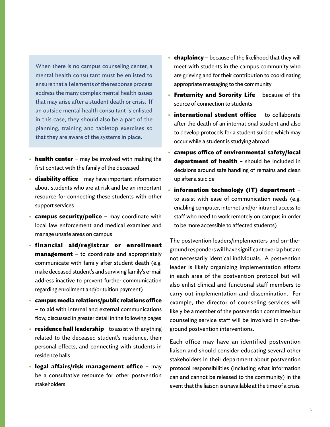When there is no campus counseling center, a mental health consultant must be enlisted to ensure that all elements of the response process address the many complex mental health issues that may arise after a student death or crisis. If an outside mental health consultant is enlisted in this case, they should also be a part of the planning, training and tabletop exercises so that they are aware of the systems in place.

- **health center** may be involved with making the first contact with the family of the deceased
- **• disability office** may have important information about students who are at risk and be an important resource for connecting these students with other support services
- **• campus security/police**  may coordinate with local law enforcement and medical examiner and manage unsafe areas on campus
- **• financial aid/registrar or enrollment management** – to coordinate and appropriately communicate with family after student death (e.g. make deceased student's and surviving family's e-mail address inactive to prevent further communication regarding enrollment and/or tuition payment)
- **• campus media relations/public relations office** – to aid with internal and external communications flow, discussed in greater detail in the following pages
- **• residence hall leadership** to assist with anything related to the deceased student's residence, their personal effects, and connecting with students in residence halls
- **• legal affairs/risk management office** may be a consultative resource for other postvention stakeholders
- **• chaplaincy** because of the likelihood that they will meet with students in the campus community who are grieving and for their contribution to coordinating appropriate messaging to the community
- **• Fraternity and Sorority Life** because of the source of connection to students
- **• international student office** to collaborate after the death of an international student and also to develop protocols for a student suicide which may occur while a student is studying abroad
- **• campus office of environmental safety/local department of health** – should be included in decisions around safe handling of remains and clean up after a suicide
- **• information technology (IT) department** to assist with ease of communication needs (e.g. enabling computer, internet and/or intranet access to staff who need to work remotely on campus in order to be more accessible to affected students)

The postvention leaders/implementers and on-theground responders will have significant overlap but are not necessarily identical individuals. A postvention leader is likely organizing implementation efforts in each area of the postvention protocol but will also enlist clinical and functional staff members to carry out implementation and dissemination. For example, the director of counseling services will likely be a member of the postvention committee but counseling service staff will be involved in on-theground postvention interventions.

Each office may have an identified postvention liaison and should consider educating several other stakeholders in their department about postvention protocol responsibilities (including what information can and cannot be released to the community) in the event that the liaison is unavailable at the time of a crisis.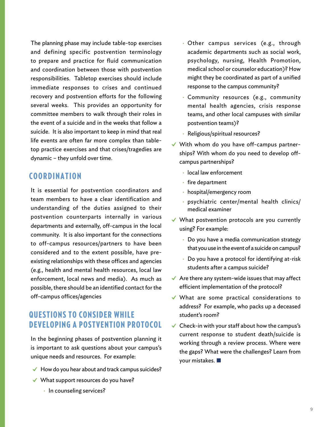The planning phase may include table-top exercises and defining specific postvention terminology to prepare and practice for fluid communication and coordination between those with postvention responsibilities. Tabletop exercises should include immediate responses to crises and continued recovery and postvention efforts for the following several weeks. This provides an opportunity for committee members to walk through their roles in the event of a suicide and in the weeks that follow a suicide. It is also important to keep in mind that real life events are often far more complex than tabletop practice exercises and that crises/tragedies are dynamic – they unfold over time.

# COORDINATION

It is essential for postvention coordinators and team members to have a clear identification and understanding of the duties assigned to their postvention counterparts internally in various departments and externally, off-campus in the local community. It is also important for the connections to off-campus resources/partners to have been considered and to the extent possible, have preexisting relationships with these offices and agencies (e.g., health and mental health resources, local law enforcement, local news and media). As much as possible, there should be an identified contact for the off-campus offices/agencies

# QUESTIONS TO CONSIDER WHILE DEVELOPING A POSTVENTION PROTOCOL

In the beginning phases of postvention planning it is important to ask questions about your campus's unique needs and resources. For example:

- $\blacktriangleright$  How do you hear about and track campus suicides?
- ✔ What support resources do you have?
	- In counseling services?
- Other campus services (e.g., through academic departments such as social work, psychology, nursing, Health Promotion, medical school or counselor education)? How might they be coordinated as part of a unified response to the campus community?
- Community resources (e.g., community mental health agencies, crisis response teams, and other local campuses with similar postvention teams)?
- Religious/spiritual resources?
- ✔ With whom do you have off-campus partnerships? With whom do you need to develop offcampus partnerships?
	- local law enforcement
	- fire department
	- hospital/emergency room
	- psychiatric center/mental health clinics/ medical examiner
- ✔ What postvention protocols are you currently using? For example:
	- Do you have a media communication strategy that you use in the event of a suicide on campus?
	- Do you have a protocol for identifying at-risk students after a campus suicide?
- $\blacktriangleright$  Are there any system-wide issues that may affect efficient implementation of the protocol?
- ✔ What are some practical considerations to address? For example, who packs up a deceased student's room?
- $\checkmark$  Check-in with your staff about how the campus's current response to student death/suicide is working through a review process. Where were the gaps? What were the challenges? Learn from your mistakes. ■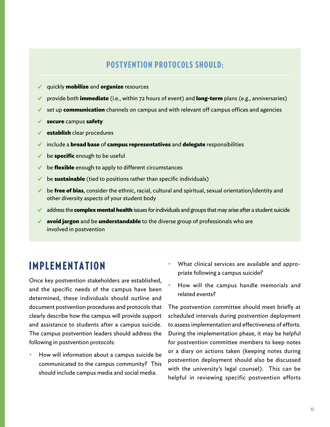# POSTVENTION PROTOCOLS SHOULD:

- ✔ quickly **mobilize** and **organize** resources
- ✔ provide both **immediate** (i.e., within 72 hours of event) and **long-term** plans (e.g., anniversaries)
- set up **communication** channels on campus and with relevant off campus offices and agencies
- ✔ **secure** campus **safety**
- **establish** clear procedures
- ✔ include a **broad base** of **campus representatives** and **delegate** responsibilities
- be **specific** enough to be useful
- be **flexible** enough to apply to different circumstances
- ✔ be **sustainable** (tied to positions rather than specific individuals)
- $\blacktriangleright$  be **free of bias**, consider the ethnic, racial, cultural and spiritual, sexual orientation/identity and other diversity aspects of your student body
- ✔ address the **complex mental health** issues for individuals and groups that may arise after a student suicide
- ✔ **avoid jargon** and be **understandable** to the diverse group of professionals who are involved in postvention

# IMPLEMENTATION

Once key postvention stakeholders are established, and the specific needs of the campus have been determined, these individuals should outline and document postvention procedures and protocols that clearly describe how the campus will provide support and assistance to students after a campus suicide. The campus postvention leaders should address the following in postvention protocols:

• How will information about a campus suicide be communicated to the campus community? This should include campus media and social media.

- What clinical services are available and appropriate following a campus suicide?
- How will the campus handle memorials and related events?

The postvention committee should meet briefly at scheduled intervals during postvention deployment to assess implementation and effectiveness of efforts. During the implementation phase, it may be helpful for postvention committee members to keep notes or a diary on actions taken (keeping notes during postvention deployment should also be discussed with the university's legal counsel). This can be helpful in reviewing specific postvention efforts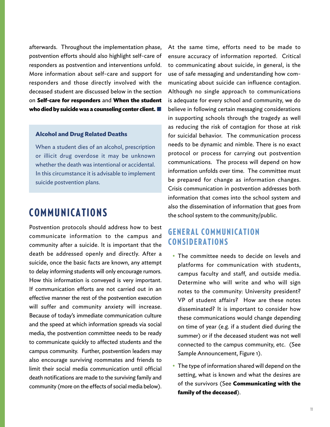afterwards. Throughout the implementation phase, postvention efforts should also highlight self-care of responders as postvention and interventions unfold. More information about self-care and support for responders and those directly involved with the deceased student are discussed below in the section on **Self-care for responders** and **When the student who died by suicide was a counseling center client.** ■

#### **Alcohol and Drug Related Deaths**

When a student dies of an alcohol, prescription or illicit drug overdose it may be unknown whether the death was intentional or accidental. In this circumstance it is advisable to implement suicide postvention plans.

# COMMUNICATIONS

Postvention protocols should address how to best communicate information to the campus and community after a suicide. It is important that the death be addressed openly and directly. After a suicide, once the basic facts are known, any attempt to delay informing students will only encourage rumors. How this information is conveyed is very important. If communication efforts are not carried out in an effective manner the rest of the postvention execution will suffer and community anxiety will increase. Because of today's immediate communication culture and the speed at which information spreads via social media, the postvention committee needs to be ready to communicate quickly to affected students and the campus community. Further, postvention leaders may also encourage surviving roommates and friends to limit their social media communication until official death notifications are made to the surviving family and community (more on the effects of social media below).

At the same time, efforts need to be made to ensure accuracy of information reported. Critical to communicating about suicide, in general, is the use of safe messaging and understanding how communicating about suicide can influence contagion. Although no single approach to communications is adequate for every school and community, we do believe in following certain messaging considerations in supporting schools through the tragedy as well as reducing the risk of contagion for those at risk for suicidal behavior. The communication process needs to be dynamic and nimble. There is no exact protocol or process for carrying out postvention communications. The process will depend on how information unfolds over time. The committee must be prepared for change as information changes. Crisis communication in postvention addresses both information that comes into the school system and also the dissemination of information that goes from the school system to the community/public.

# **GENERAL COMMUNICATION CONSIDERATIONS**

- The committee needs to decide on levels and platforms for communication with students, campus faculty and staff, and outside media. Determine who will write and who will sign notes to the community: University president? VP of student affairs? How are these notes disseminated? It is important to consider how these communications would change depending on time of year (e.g. if a student died during the summer) or if the deceased student was not well connected to the campus community, etc. (See Sample Announcement, Figure 1).
- The type of information shared will depend on the setting, what is known and what the desires are of the survivors (See **Communicating with the family of the deceased**).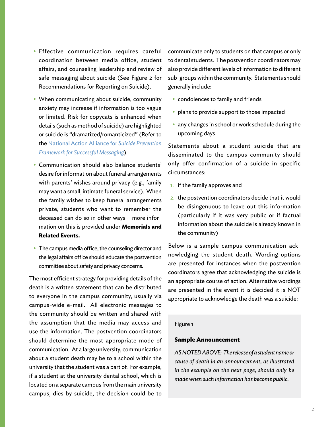- Effective communication requires careful coordination between media office, student affairs, and counseling leadership and review of safe messaging about suicide (See Figure 2 for Recommendations for Reporting on Suicide).
- When communicating about suicide, community anxiety may increase if information is too vague or limited. Risk for copycats is enhanced when details (such as method of suicide) are highlighted or suicide is "dramatized/romanticized" (Refer to the [National Action Alliance for](http://suicidepreventionmessaging.actionallianceforsuicideprevention.org/safety) *Suicide Prevention [Framework for Successful Messaging](http://suicidepreventionmessaging.actionallianceforsuicideprevention.org/safety)*).
- Communication should also balance students' desire for information about funeral arrangements with parents' wishes around privacy (e.g., family may want a small, intimate funeral service). When the family wishes to keep funeral arrangements private, students who want to remember the deceased can do so in other ways – more information on this is provided under **Memorials and Related Events.**
- The campus media office, the counseling director and the legal affairs office should educate the postvention committee about safety and privacy concerns.

The most efficient strategy for providing details of the death is a written statement that can be distributed to everyone in the campus community, usually via campus-wide e-mail. All electronic messages to the community should be written and shared with the assumption that the media may access and use the information. The postvention coordinators should determine the most appropriate mode of communication. At a large university, communication about a student death may be to a school within the university that the student was a part of. For example, if a student at the university dental school, which is located on a separate campus from the main university campus, dies by suicide, the decision could be to

communicate only to students on that campus or only to dental students. The postvention coordinators may also provide different levels of information to different sub-groups within the community. Statements should generally include:

- condolences to family and friends
- plans to provide support to those impacted
- any changes in school or work schedule during the upcoming days

Statements about a student suicide that are disseminated to the campus community should only offer confirmation of a suicide in specific circumstances:

- 1. if the family approves and
- 2. the postvention coordinators decide that it would be disingenuous to leave out this information (particularly if it was very public or if factual information about the suicide is already known in the community)

Below is a sample campus communication acknowledging the student death. Wording options are presented for instances when the postvention coordinators agree that acknowledging the suicide is an appropriate course of action. Alternative wordings are presented in the event it is decided it is NOT appropriate to acknowledge the death was a suicide:

#### Figure 1

#### **Sample Announcement**

*AS NOTED ABOVE: The release of a student name or cause of death in an announcement, as illustrated in the example on the next page, should only be made when such information has become public.*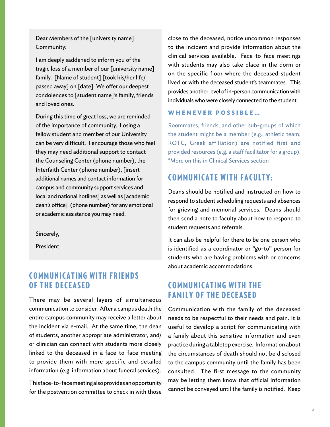Dear Members of the [university name] Community:

I am deeply saddened to inform you of the tragic loss of a member of our [university name] family. [Name of student] [took his/her life/ passed away] on [date]. We offer our deepest condolences to [student name]'s family, friends and loved ones.

During this time of great loss, we are reminded of the importance of community. Losing a fellow student and member of our University can be very difficult. I encourage those who feel they may need additional support to contact the Counseling Center (phone number), the Interfaith Center (phone number), [insert additional names and contact information for campus and community support services and local and national hotlines] as well as [academic dean's office] (phone number) for any emotional or academic assistance you may need.

Sincerely,

President

# **COMMUNICATING WITH FRIENDS** OF THE DECEASED

There may be several layers of simultaneous communication to consider. After a campus death the entire campus community may receive a letter about the incident via e-mail. At the same time, the dean of students, another appropriate administrator, and/ or clinician can connect with students more closely linked to the deceased in a face-to-face meeting to provide them with more specific and detailed information (e.g. information about funeral services).

This face-to-face meeting also provides an opportunity for the postvention committee to check in with those

close to the deceased, notice uncommon responses to the incident and provide information about the clinical services available. Face-to-face meetings with students may also take place in the dorm or on the specific floor where the deceased student lived or with the deceased student's teammates. This provides another level of in-person communication with individuals who were closely connected to the student.

### **WHENEVER POSSIBLE…**

Roommates, friends, and other sub-groups of which the student might be a member (e.g., athletic team, ROTC, Greek affiliation) are notified first and provided resources (e.g. a staff facilitator for a group). \*More on this in Clinical Services section

# COMMUNICATE WITH FACULTY:

Deans should be notified and instructed on how to respond to student scheduling requests and absences for grieving and memorial services. Deans should then send a note to faculty about how to respond to student requests and referrals.

It can also be helpful for there to be one person who is identified as a coordinator or "go-to" person for students who are having problems with or concerns about academic accommodations.

# **COMMUNICATING WITH THE FAMILY OF THE DECEASED**

Communication with the family of the deceased needs to be respectful to their needs and pain. It is useful to develop a script for communicating with a family about this sensitive information and even practice during a tabletop exercise. Information about the circumstances of death should not be disclosed to the campus community until the family has been consulted. The first message to the community may be letting them know that official information cannot be conveyed until the family is notified. Keep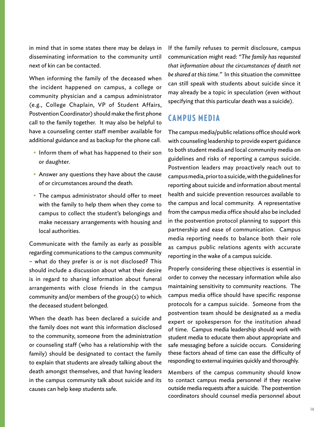in mind that in some states there may be delays in disseminating information to the community until next of kin can be contacted.

When informing the family of the deceased when the incident happened on campus, a college or community physician and a campus administrator (e.g., College Chaplain, VP of Student Affairs, Postvention Coordinator) should make the first phone call to the family together. It may also be helpful to have a counseling center staff member available for additional guidance and as backup for the phone call.

- Inform them of what has happened to their son or daughter.
- Answer any questions they have about the cause of or circumstances around the death.
- The campus administrator should offer to meet with the family to help them when they come to campus to collect the student's belongings and make necessary arrangements with housing and local authorities.

Communicate with the family as early as possible regarding communications to the campus community – what do they prefer is or is not disclosed? This should include a discussion about what their desire is in regard to sharing information about funeral arrangements with close friends in the campus community and/or members of the group(s) to which the deceased student belonged.

When the death has been declared a suicide and the family does not want this information disclosed to the community, someone from the administration or counseling staff (who has a relationship with the family) should be designated to contact the family to explain that students are already talking about the death amongst themselves, and that having leaders in the campus community talk about suicide and its causes can help keep students safe.

If the family refuses to permit disclosure, campus communication might read: *"The family has requested that information about the circumstances of death not be shared at this time."* In this situation the committee can still speak with students about suicide since it may already be a topic in speculation (even without specifying that this particular death was a suicide).

# CAMPUS MEDIA

The campus media/public relations office should work with counseling leadership to provide expert guidance to both student media and local community media on guidelines and risks of reporting a campus suicide. Postvention leaders may proactively reach out to campus media, prior to a suicide, with the guidelines for reporting about suicide and information about mental health and suicide prevention resources available to the campus and local community. A representative from the campus media office should also be included in the postvention protocol planning to support this partnership and ease of communication. Campus media reporting needs to balance both their role as campus public relations agents with accurate reporting in the wake of a campus suicide.

Properly considering these objectives is essential in order to convey the necessary information while also maintaining sensitivity to community reactions. The campus media office should have specific response protocols for a campus suicide. Someone from the postvention team should be designated as a media expert or spokesperson for the institution ahead of time. Campus media leadership should work with student media to educate them about appropriate and safe messaging before a suicide occurs. Considering these factors ahead of time can ease the difficulty of responding to external inquiries quickly and thoroughly.

Members of the campus community should know to contact campus media personnel if they receive outside media requests after a suicide. The postvention coordinators should counsel media personnel about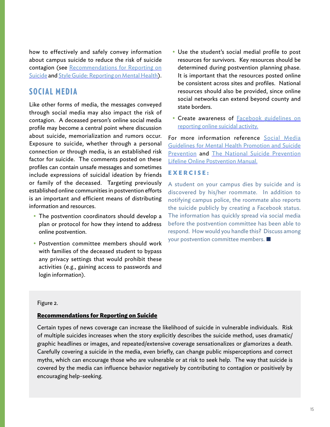how to effectively and safely convey information about campus suicide to reduce the risk of suicide contagion (see [Recommendations for Reporting on](http://reportingonsuicide.org/Recommendations2012.pdf)  [Suicide](http://reportingonsuicide.org/Recommendations2012.pdf) and [Style Guide: Reporting on Mental Health\)](http://www.eiconline.org/teamup/wp-content/files/mental-health-reporting-style-guide.pdf).

# SOCIAL MEDIA

Like other forms of media, the messages conveyed through social media may also impact the risk of contagion. A deceased person's online social media profile may become a central point where discussion about suicide, memorialization and rumors occur. Exposure to suicide, whether through a personal connection or through media, is an established risk factor for suicide. The comments posted on these profiles can contain unsafe messages and sometimes include expressions of suicidal ideation by friends or family of the deceased. Targeting previously established online communities in postvention efforts is an important and efficient means of distributing information and resources.

- The postvention coordinators should develop a plan or protocol for how they intend to address online postvention.
- Postvention committee members should work with families of the deceased student to bypass any privacy settings that would prohibit these activities (e.g., gaining access to passwords and login information).
- Use the student's social medial profile to post resources for survivors. Key resources should be determined during postvention planning phase. It is important that the resources posted online be consistent across sites and profiles. National resources should also be provided, since online social networks can extend beyond county and state borders.
- Create awareness of **Facebook guidelines on** [reporting online suicidal activity.](https://www.facebook.com/help/contact/305410456169423)

For more information reference [Social Media](http://www.eiconline.org/teamup/wp-content/files/teamup-mental-health-social-media-guidelines.pdf)  [Guidelines for Mental Health Promotion and Suicide](http://www.eiconline.org/teamup/wp-content/files/teamup-mental-health-social-media-guidelines.pdf)  [Prevention](http://www.eiconline.org/teamup/wp-content/files/teamup-mental-health-social-media-guidelines.pdf) and [The National Suicide Prevention](http://www.sprc.org/sites/sprc.org/files/library/LifelineOnlinePostventionManual.pdf) [Lifeline Online Postvention Manual.](http://www.sprc.org/sites/sprc.org/files/library/LifelineOnlinePostventionManual.pdf)

### **EXERCISE:**

A student on your campus dies by suicide and is discovered by his/her roommate. In addition to notifying campus police, the roommate also reports the suicide publicly by creating a Facebook status. The information has quickly spread via social media before the postvention committee has been able to respond. How would you handle this? Discuss among your postvention committee members. ■

#### Figure 2.

#### **[Recommendations for Reporting on Suicide](http://reportingonsuicide.org/Recommendations2012.pdf)**

Certain types of news coverage can increase the likelihood of suicide in vulnerable individuals. Risk of multiple suicides increases when the story explicitly describes the suicide method, uses dramatic/ graphic headlines or images, and repeated/extensive coverage sensationalizes or glamorizes a death. Carefully covering a suicide in the media, even briefly, can change public misperceptions and correct myths, which can encourage those who are vulnerable or at risk to seek help. The way that suicide is covered by the media can influence behavior negatively by contributing to contagion or positively by encouraging help-seeking.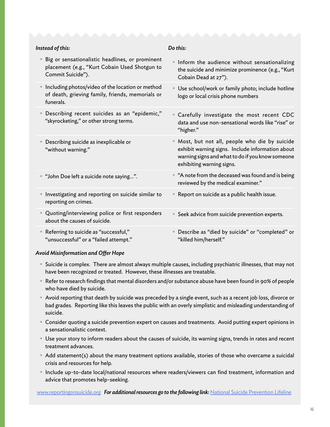| Instead of this:                                                                                                                   | Do this:                                                                                                                                                                          |
|------------------------------------------------------------------------------------------------------------------------------------|-----------------------------------------------------------------------------------------------------------------------------------------------------------------------------------|
| Big or sensationalistic headlines, or prominent<br>$\bullet$<br>placement (e.g., "Kurt Cobain Used Shotgun to<br>Commit Suicide"). | . Inform the audience without sensationalizing<br>the suicide and minimize prominence (e.g., "Kurt<br>Cobain Dead at 27").                                                        |
| Including photos/video of the location or method<br>$\bullet$<br>of death, grieving family, friends, memorials or<br>funerals.     | Use school/work or family photo; include hotline<br>logo or local crisis phone numbers                                                                                            |
| Describing recent suicides as an "epidemic,"<br>$\bullet$<br>"skyrocketing," or other strong terms.                                | Carefully investigate the most recent CDC<br>data and use non-sensational words like "rise" or<br>"higher."                                                                       |
| Describing suicide as inexplicable or<br>"without warning."                                                                        | Most, but not all, people who die by suicide<br>exhibit warning signs. Include information about<br>warning signs and what to do if you know someone<br>exhibiting warning signs. |
| • "John Doe left a suicide note saying".                                                                                           | • "A note from the deceased was found and is being<br>reviewed by the medical examiner."                                                                                          |
| Investigating and reporting on suicide similar to<br>$\bullet$<br>reporting on crimes.                                             | Report on suicide as a public health issue.                                                                                                                                       |
| Quoting/interviewing police or first responders<br>$\bullet$<br>about the causes of suicide.                                       | Seek advice from suicide prevention experts.<br>٠                                                                                                                                 |
| Referring to suicide as "successful,"<br>$\bullet$<br>"unsuccessful" or a "failed attempt."                                        | Describe as "died by suicide" or "completed" or<br>"killed him/herself."                                                                                                          |

#### *Avoid Misinformation and Offer Hope*

- Suicide is complex. There are almost always multiple causes, including psychiatric illnesses, that may not have been recognized or treated. However, these illnesses are treatable.
- Refer to research findings that mental disorders and/or substance abuse have been found in 90% of people who have died by suicide.
- Avoid reporting that death by suicide was preceded by a single event, such as a recent job loss, divorce or bad grades. Reporting like this leaves the public with an overly simplistic and misleading understanding of suicide.
- Consider quoting a suicide prevention expert on causes and treatments. Avoid putting expert opinions in a sensationalistic context.
- Use your story to inform readers about the causes of suicide, its warning signs, trends in rates and recent treatment advances.
- Add statement(s) about the many treatment options available, stories of those who overcame a suicidal crisis and resources for help.
- Include up-to-date local/national resources where readers/viewers can find treatment, information and advice that promotes help-seeking.

[www.reportingonsuicide.org](http://www.reportingonsuicide.org ) *For additional resources go to the following link:* [National Suicide Prevention Lifeline](http://www.suicidepreventionlifeline.org/)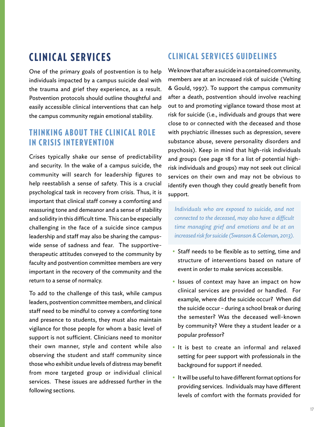# CLINICAL SERVICES

One of the primary goals of postvention is to help individuals impacted by a campus suicide deal with the trauma and grief they experience, as a result. Postvention protocols should outline thoughtful and easily accessible clinical interventions that can help the campus community regain emotional stability.

# **THINKING ABOUT THE CLINICAL ROLE** IN CRISIS INTERVENTION

Crises typically shake our sense of predictability and security. In the wake of a campus suicide, the community will search for leadership figures to help reestablish a sense of safety. This is a crucial psychological task in recovery from crisis. Thus, it is important that clinical staff convey a comforting and reassuring tone and demeanor and a sense of stability and solidity in this difficult time. This can be especially challenging in the face of a suicide since campus leadership and staff may also be sharing the campuswide sense of sadness and fear. The supportivetherapeutic attitudes conveyed to the community by faculty and postvention committee members are very important in the recovery of the community and the return to a sense of normalcy.

To add to the challenge of this task, while campus leaders, postvention committee members, and clinical staff need to be mindful to convey a comforting tone and presence to students, they must also maintain vigilance for those people for whom a basic level of support is not sufficient. Clinicians need to monitor their own manner, style and content while also observing the student and staff community since those who exhibit undue levels of distress may benefit from more targeted group or individual clinical services. These issues are addressed further in the following sections.

# CLINICAL SERVICES GUIDELINES

We know that after a suicide in a contained community, members are at an increased risk of suicide (Velting & Gould, 1997). To support the campus community after a death, postvention should involve reaching out to and promoting vigilance toward those most at risk for suicide (i.e., individuals and groups that were close to or connected with the deceased and those with psychiatric illnesses such as depression, severe substance abuse, severe personality disorders and psychosis). Keep in mind that high-risk individuals and groups (see page 18 for a list of potential highrisk individuals and groups) may not seek out clinical services on their own and may not be obvious to identify even though they could greatly benefit from support.

*Individuals who are exposed to suicide, and not connected to the deceased, may also have a difficult time managing grief and emotions and be at an increased risk for suicide (Swanson & Coleman, 2013).*

- Staff needs to be flexible as to setting, time and structure of interventions based on nature of event in order to make services accessible.
- Issues of context may have an impact on how clinical services are provided or handled. For example, where did the suicide occur? When did the suicide occur - during a school break or during the semester? Was the deceased well-known by community? Were they a student leader or a popular professor?
- It is best to create an informal and relaxed setting for peer support with professionals in the background for support if needed.
- It will be useful to have different format options for providing services. Individuals may have different levels of comfort with the formats provided for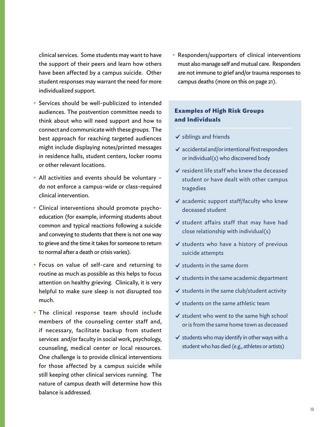clinical services. Some students may want to have the support of their peers and learn how others have been affected by a campus suicide. Other student responses may warrant the need for more individualized support.

- Services should be well-publicized to intended audiences. The postvention committee needs to think about who will need support and how to connect and communicate with these groups. The best approach for reaching targeted audiences might include displaying notes/printed messages in residence halls, student centers, locker rooms or other relevant locations.
- All activities and events should be voluntary do not enforce a campus-wide or class-required clinical intervention.
- Clinical interventions should promote psychoeducation (for example, informing students about common and typical reactions following a suicide and conveying to students that there is not one way to grieve and the time it takes for someone to return to normal after a death or crisis varies).
- Focus on value of self-care and returning to routine as much as possible as this helps to focus attention on healthy grieving. Clinically, it is very helpful to make sure sleep is not disrupted too much.
- The clinical response team should include members of the counseling center staff and, if necessary, facilitate backup from student services and/or faculty in social work, psychology, counseling, medical center or local resources. One challenge is to provide clinical interventions for those affected by a campus suicide while still keeping other clinical services running. The nature of campus death will determine how this balance is addressed.

• Responders/supporters of clinical interventions must also manage self and mutual care. Responders are not immune to grief and/or trauma responses to campus deaths (more on this on page 21).

### **Examples of High Risk Groups and Individuals**

- $\checkmark$  siblings and friends
- $\checkmark$  accidental and/or intentional first responders or individual(s) who discovered body
- $\vee$  resident life staff who knew the deceased student or have dealt with other campus tragedies
- $\checkmark$  academic support staff/faculty who knew deceased student
- ✔ student affairs staff that may have had close relationship with individual(s)
- ✔ students who have a history of previous suicide attempts
- ✔ students in the same dorm
- $\checkmark$  students in the same academic department
- $\checkmark$  students in the same club/student activity
- $\checkmark$  students on the same athletic team
- $\checkmark$  student who went to the same high school or is from the same home town as deceased
- $\checkmark$  students who may identify in other ways with a student who has died (e.g., athletes or artists)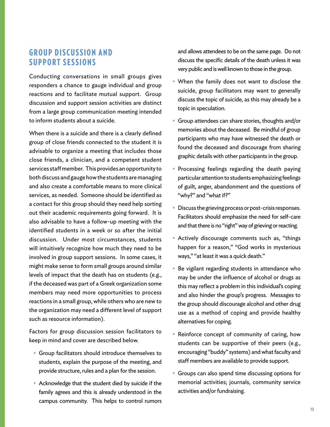# GROUP DISCUSSION AND SUPPORT SESSIONS

Conducting conversations in small groups gives responders a chance to gauge individual and group reactions and to facilitate mutual support. Group discussion and support session activities are distinct from a large group communication meeting intended to inform students about a suicide.

When there is a suicide and there is a clearly defined group of close friends connected to the student it is advisable to organize a meeting that includes those close friends, a clinician, and a competent student services staff member. This provides an opportunity to both discuss and gauge how the students are managing and also create a comfortable means to more clinical services, as needed. Someone should be identified as a contact for this group should they need help sorting out their academic requirements going forward. It is also advisable to have a follow-up meeting with the identified students in a week or so after the initial discussion. Under most circumstances, students will intuitively recognize how much they need to be involved in group support sessions. In some cases, it might make sense to form small groups around similar levels of impact that the death has on students (e.g., if the deceased was part of a Greek organization some members may need more opportunities to process reactions in a small group, while others who are new to the organization may need a different level of support such as resource information).

Factors for group discussion session facilitators to keep in mind and cover are described below.

- Group facilitators should introduce themselves to students, explain the purpose of the meeting, and provide structure, rules and a plan for the session.
- Acknowledge that the student died by suicide if the family agrees and this is already understood in the campus community. This helps to control rumors

and allows attendees to be on the same page. Do not discuss the specific details of the death unless it was very public and is well known to those in the group.

- When the family does not want to disclose the suicide, group facilitators may want to generally discuss the topic of suicide, as this may already be a topic in speculation.
- Group attendees can share stories, thoughts and/or memories about the deceased. Be mindful of group participants who may have witnessed the death or found the deceased and discourage from sharing graphic details with other participants in the group.
- Processing feelings regarding the death paying particular attention to students emphasizing feelings of guilt, anger, abandonment and the questions of "why?" and "what if?"
- Discuss the grieving process or post-crisis responses. Facilitators should emphasize the need for self-care and that there is no "right" way of grieving or reacting.
- Actively discourage comments such as, "things happen for a reason," "God works in mysterious ways," "at least it was a quick death."
- Be vigilant regarding students in attendance who may be under the influence of alcohol or drugs as this may reflect a problem in this individual's coping and also hinder the group's progress. Messages to the group should discourage alcohol and other drug use as a method of coping and provide healthy alternatives for coping.
- Reinforce concept of community of caring, how students can be supportive of their peers (e.g., encouraging "buddy" systems) and what faculty and staff members are available to provide support.
- Groups can also spend time discussing options for memorial activities; journals, community service activities and/or fundraising.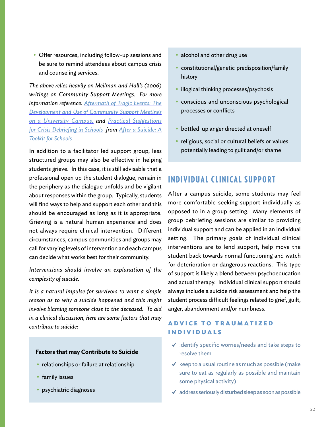• Offer resources, including follow-up sessions and be sure to remind attendees about campus crisis and counseling services.

*The above relies heavily on Meilman and Hall's (2006) writings on Community Support Meetings. For more information reference: [Aftermath of Tragic Events: The](http://m1.archiveorange.com/m/att/rD0vk/ArchiveOrange_jNpD5W5bNvXaKFsRCpfO8LEsTkEa.pdf)  [Development and Use of Community Support Meetings](http://m1.archiveorange.com/m/att/rD0vk/ArchiveOrange_jNpD5W5bNvXaKFsRCpfO8LEsTkEa.pdf) [on a University Campus.](http://m1.archiveorange.com/m/att/rD0vk/ArchiveOrange_jNpD5W5bNvXaKFsRCpfO8LEsTkEa.pdf) and [Practical Suggestions](http://www.schoolsecurity.org/resources/Practical%20Suggestions%20for%20Crisis%20Debriefing%20for%20Schools.pdf) [for Crisis Debriefing in Schools](http://www.schoolsecurity.org/resources/Practical%20Suggestions%20for%20Crisis%20Debriefing%20for%20Schools.pdf) from [After a Suicide: A](http://www.sprc.org/sites/sprc.org/files/library/AfteraSuicideToolkitforSchools.pdf) [Toolkit for Schools](http://www.sprc.org/sites/sprc.org/files/library/AfteraSuicideToolkitforSchools.pdf)*

In addition to a facilitator led support group, less structured groups may also be effective in helping students grieve. In this case, it is still advisable that a professional open up the student dialogue, remain in the periphery as the dialogue unfolds and be vigilant about responses within the group. Typically, students will find ways to help and support each other and this should be encouraged as long as it is appropriate. Grieving is a natural human experience and does not always require clinical intervention. Different circumstances, campus communities and groups may call for varying levels of intervention and each campus can decide what works best for their community.

*Interventions should involve an explanation of the complexity of suicide.*

*It is a natural impulse for survivors to want a simple reason as to why a suicide happened and this might involve blaming someone close to the deceased. To aid in a clinical discussion, here are some factors that may contribute to suicide:*

#### **Factors that may Contribute to Suicide**

- relationships or failure at relationship
- family issues
- psychiatric diagnoses
- alcohol and other drug use
- constitutional/genetic predisposition/family history
- illogical thinking processes/psychosis
- conscious and unconscious psychological processes or conflicts
- bottled-up anger directed at oneself
- religious, social or cultural beliefs or values potentially leading to guilt and/or shame

# INDIVIDUAL CLINICAL SUPPORT

After a campus suicide, some students may feel more comfortable seeking support individually as opposed to in a group setting. Many elements of group debriefing sessions are similar to providing individual support and can be applied in an individual setting. The primary goals of individual clinical interventions are to lend support, help move the student back towards normal functioning and watch for deterioration or dangerous reactions. This type of support is likely a blend between psychoeducation and actual therapy. Individual clinical support should always include a suicide risk assessment and help the student process difficult feelings related to grief, guilt, anger, abandonment and/or numbness.

# **A D V I C E T O T R A U M A T I Z E D INDIVIDUALS**

- $\checkmark$  identify specific worries/needs and take steps to resolve them
- $\checkmark$  keep to a usual routine as much as possible (make sure to eat as regularly as possible and maintain some physical activity)
- $\checkmark$  address seriously disturbed sleep as soon as possible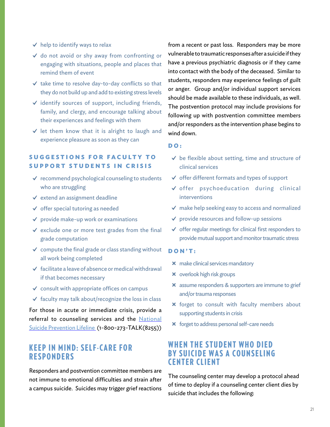- $\checkmark$  help to identify ways to relax
- ✔ do not avoid or shy away from confronting or engaging with situations, people and places that remind them of event
- $\checkmark$  take time to resolve day-to-day conflicts so that they do not build up and add to existing stress levels
- ✔ identify sources of support, including friends, family, and clergy, and encourage talking about their experiences and feelings with them
- $\checkmark$  let them know that it is alright to laugh and experience pleasure as soon as they can

## **SUGGESTIONS FOR FACULTY TO SUPPORT STUDENTS IN CRISIS**

- $\checkmark$  recommend psychological counseling to students who are struggling
- $\checkmark$  extend an assignment deadline
- $\checkmark$  offer special tutoring as needed
- $\checkmark$  provide make-up work or examinations
- $\checkmark$  exclude one or more test grades from the final grade computation
- $\checkmark$  compute the final grade or class standing without all work being completed
- $\checkmark$  facilitate a leave of absence or medical withdrawal if that becomes necessary
- $\checkmark$  consult with appropriate offices on campus
- $\checkmark$  faculty may talk about/recognize the loss in class

For those in acute or immediate crisis, provide a referral to counseling services and the National [Suicide Prevention Lifeline](http://www.suicidepreventionlifeline.org/) (1-800-273-TALK(8255))

# **KEEP IN MIND: SELF-CARE FOR RESPONDERS**

Responders and postvention committee members are not immune to emotional difficulties and strain after a campus suicide. Suicides may trigger grief reactions

from a recent or past loss. Responders may be more vulnerable to traumatic responses after a suicide if they have a previous psychiatric diagnosis or if they came into contact with the body of the deceased. Similar to students, responders may experience feelings of guilt or anger. Group and/or individual support services should be made available to these individuals, as well. The postvention protocol may include provisions for following up with postvention committee members and/or responders as the intervention phase begins to wind down.

### **DO:**

- $\checkmark$  be flexible about setting, time and structure of clinical services
- ✔ offer different formats and types of support
- ✔ offer psychoeducation during clinical interventions
- $\vee$  make help seeking easy to access and normalized
- ✔ provide resources and follow-up sessions
- $\checkmark$  offer regular meetings for clinical first responders to provide mutual support and monitor traumatic stress

#### **DON'T:**

- ✖ make clinical services mandatory
- ✖ overlook high risk groups
- ✖ assume responders & supporters are immune to grief and/or trauma responses
- ✖ forget to consult with faculty members about supporting students in crisis
- ✖ forget to address personal self-care needs

# WHEN THE STUDENT WHO DIED BY SUICIDE WAS A COUNSELING CENTER CLIENT

The counseling center may develop a protocol ahead of time to deploy if a counseling center client dies by suicide that includes the following: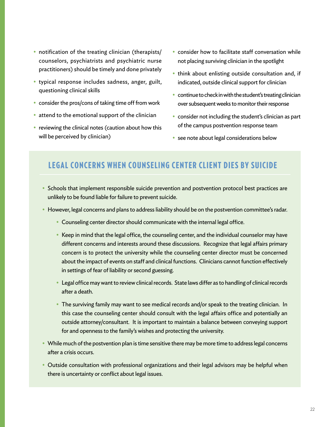- notification of the treating clinician (therapists/ counselors, psychiatrists and psychiatric nurse practitioners) should be timely and done privately
- typical response includes sadness, anger, guilt, questioning clinical skills
- consider the pros/cons of taking time off from work
- attend to the emotional support of the clinician
- reviewing the clinical notes (caution about how this will be perceived by clinician)
- consider how to facilitate staff conversation while not placing surviving clinician in the spotlight
- think about enlisting outside consultation and, if indicated, outside clinical support for clinician
- continue to check in with the student's treating clinician over subsequent weeks to monitor their response
- consider not including the student's clinician as part of the campus postvention response team
- see note about legal considerations below

# LEGAL CONCERNS WHEN COUNSELING CENTER CLIENT DIES BY SUICIDE

- Schools that implement responsible suicide prevention and postvention protocol best practices are unlikely to be found liable for failure to prevent suicide.
- However, legal concerns and plans to address liability should be on the postvention committee's radar.
	- Counseling center director should communicate with the internal legal office.
	- Keep in mind that the legal office, the counseling center, and the individual counselor may have different concerns and interests around these discussions. Recognize that legal affairs primary concern is to protect the university while the counseling center director must be concerned about the impact of events on staff and clinical functions. Clinicians cannot function effectively in settings of fear of liability or second guessing.
	- Legal office may want to review clinical records. State laws differ as to handling of clinical records after a death.
	- The surviving family may want to see medical records and/or speak to the treating clinician. In this case the counseling center should consult with the legal affairs office and potentially an outside attorney/consultant. It is important to maintain a balance between conveying support for and openness to the family's wishes and protecting the university.
- While much of the postvention plan is time sensitive there may be more time to address legal concerns after a crisis occurs.
- Outside consultation with professional organizations and their legal advisors may be helpful when there is uncertainty or conflict about legal issues.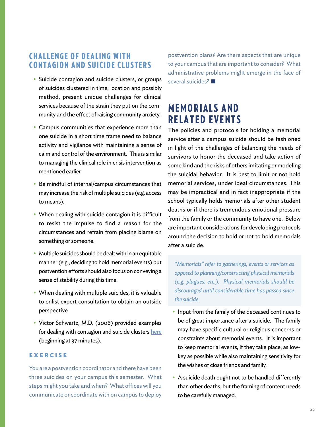# **CHALLENGE OF DEALING WITH** CONTAGION AND SUICIDE CLUSTERS

- Suicide contagion and suicide clusters, or groups of suicides clustered in time, location and possibly method, present unique challenges for clinical services because of the strain they put on the community and the effect of raising community anxiety.
- Campus communities that experience more than one suicide in a short time frame need to balance activity and vigilance with maintaining a sense of calm and control of the environment. This is similar to managing the clinical role in crisis intervention as mentioned earlier.
- Be mindful of internal/campus circumstances that may increase the risk of multiple suicides (e.g. access to means).
- When dealing with suicide contagion it is difficult to resist the impulse to find a reason for the circumstances and refrain from placing blame on something or someone.
- Multiple suicides should be dealt with in an equitable manner (e.g., deciding to hold memorial events) but postvention efforts should also focus on conveying a sense of stability during this time.
- When dealing with multiple suicides, it is valuable to enlist expert consultation to obtain an outside perspective
- Victor Schwartz, M.D. (2006) provided examples for dealing with contagion and suicide clusters [here](https://www.youtube.com/watch?v=m43Z1Q5RAxw) (beginning at 37 minutes).

### **EXERCISE**

You are a postvention coordinator and there have been three suicides on your campus this semester. What steps might you take and when? What offices will you communicate or coordinate with on campus to deploy postvention plans? Are there aspects that are unique to your campus that are important to consider? What administrative problems might emerge in the face of several suicides? ■

# **MEMORIALS AND** RELATED EVENTS

The policies and protocols for holding a memorial service after a campus suicide should be fashioned in light of the challenges of balancing the needs of survivors to honor the deceased and take action of some kind and the risks of others imitating or modeling the suicidal behavior. It is best to limit or not hold memorial services, under ideal circumstances. This may be impractical and in fact inappropriate if the school typically holds memorials after other student deaths or if there is tremendous emotional pressure from the family or the community to have one. Below are important considerations for developing protocols around the decision to hold or not to hold memorials after a suicide.

*"Memorials" refer to gatherings, events or services as opposed to planning/constructing physical memorials (e.g. plagues, etc.). Physical memorials should be discouraged until considerable time has passed since the suicide.* 

- Input from the family of the deceased continues to be of great importance after a suicide. The family may have specific cultural or religious concerns or constraints about memorial events. It is important to keep memorial events, if they take place, as lowkey as possible while also maintaining sensitivity for the wishes of close friends and family.
- A suicide death ought not to be handled differently than other deaths, but the framing of content needs to be carefully managed.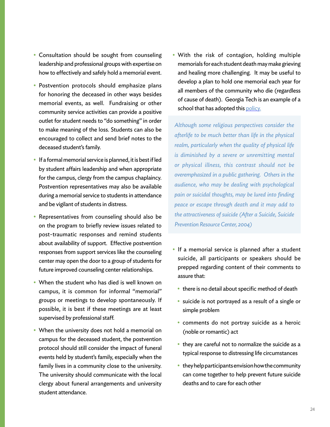- Consultation should be sought from counseling leadership and professional groups with expertise on how to effectively and safely hold a memorial event.
- Postvention protocols should emphasize plans for honoring the deceased in other ways besides memorial events, as well. Fundraising or other community service activities can provide a positive outlet for student needs to "do something" in order to make meaning of the loss. Students can also be encouraged to collect and send brief notes to the deceased student's family.
- If a formal memorial service is planned, it is best if led by student affairs leadership and when appropriate for the campus, clergy from the campus chaplaincy. Postvention representatives may also be available during a memorial service to students in attendance and be vigilant of students in distress.
- Representatives from counseling should also be on the program to briefly review issues related to post-traumatic responses and remind students about availability of support. Effective postvention responses from support services like the counseling center may open the door to a group of students for future improved counseling center relationships.
- When the student who has died is well known on campus, it is common for informal "memorial" groups or meetings to develop spontaneously. If possible, it is best if these meetings are at least supervised by professional staff.
- When the university does not hold a memorial on campus for the deceased student, the postvention protocol should still consider the impact of funeral events held by student's family, especially when the family lives in a community close to the university. The university should communicate with the local clergy about funeral arrangements and university student attendance.

• With the risk of contagion, holding multiple memorials for each student death may make grieving and healing more challenging. It may be useful to develop a plan to hold one memorial each year for all members of the community who die (regardless of cause of death). Georgia Tech is an example of a school that has adopted this [policy](http://www.specialevents.gatech.edu/whenthewhistleblows).

*Although some religious perspectives consider the afterlife to be much better than life in the physical realm, particularly when the quality of physical life is diminished by a severe or unremitting mental or physical illness, this contrast should not be overemphasized in a public gathering. Others in the audience, who may be dealing with psychological pain or suicidal thoughts, may be lured into finding peace or escape through death and it may add to the attractiveness of suicide (After a Suicide, Suicide Prevention Resource Center, 2004)*

- If a memorial service is planned after a student suicide, all participants or speakers should be prepped regarding content of their comments to assure that:
	- there is no detail about specific method of death
	- suicide is not portrayed as a result of a single or simple problem
	- comments do not portray suicide as a heroic (noble or romantic) act
	- they are careful not to normalize the suicide as a typical response to distressing life circumstances
	- they help participants envision how the community can come together to help prevent future suicide deaths and to care for each other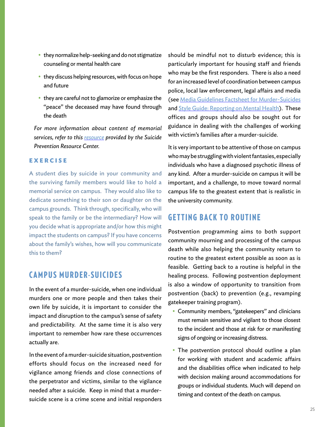- they normalize help-seeking and do not stigmatize counseling or mental health care
- they discuss helping resources, with focus on hope and future
- they are careful not to glamorize or emphasize the "peace" the deceased may have found through the death

*For more information about content of memorial services, refer to this [resource](http://www.sprc.org/sites/sprc.org/files/library/aftersuicide.pdf) provided by the Suicide Prevention Resource Center.*

### **EXERCISE**

A student dies by suicide in your community and the surviving family members would like to hold a memorial service on campus. They would also like to dedicate something to their son or daughter on the campus grounds. Think through, specifically, who will speak to the family or be the intermediary? How will you decide what is appropriate and/or how this might impact the students on campus? If you have concerns about the family's wishes, how will you communicate this to them?

# **CAMPUS MURDER-SUICIDES**

In the event of a murder-suicide, when one individual murders one or more people and then takes their own life by suicide, it is important to consider the impact and disruption to the campus's sense of safety and predictability. At the same time it is also very important to remember how rare these occurrences actually are.

In the event of a murder-suicide situation, postvention efforts should focus on the increased need for vigilance among friends and close connections of the perpetrator and victims, similar to the vigilance needed after a suicide. Keep in mind that a murdersuicide scene is a crime scene and initial responders should be mindful not to disturb evidence; this is particularly important for housing staff and friends who may be the first responders. There is also a need for an increased level of coordination between campus police, local law enforcement, legal affairs and media (see [Media Guidelines Factsheet for Murder-Suicides](http://www.samaritans.org/sites/default/files/kcfinder/files/press/Samaritans%20Ireland%20media%20factsheet%20-%20murder-suicides.pdf) and [Style Guide: Reporting on Mental Health\)](http://www.eiconline.org/teamup/wp-content/files/mental-health-reporting-style-guide.pdf). These offices and groups should also be sought out for guidance in dealing with the challenges of working with victim's families after a murder-suicide.

It is very important to be attentive of those on campus who may be struggling with violent fantasies, especially individuals who have a diagnosed psychotic illness of any kind. After a murder-suicide on campus it will be important, and a challenge, to move toward normal campus life to the greatest extent that is realistic in the university community.

# GETTING BACK TO ROUTINE

Postvention programming aims to both support community mourning and processing of the campus death while also helping the community return to routine to the greatest extent possible as soon as is feasible. Getting back to a routine is helpful in the healing process. Following postvention deployment is also a window of opportunity to transition from postvention (back) to prevention (e.g., revamping gatekeeper training program).

- Community members, "gatekeepers" and clinicians must remain sensitive and vigilant to those closest to the incident and those at risk for or manifesting signs of ongoing or increasing distress.
- The postvention protocol should outline a plan for working with student and academic affairs and the disabilities office when indicated to help with decision making around accommodations for groups or individual students. Much will depend on timing and context of the death on campus.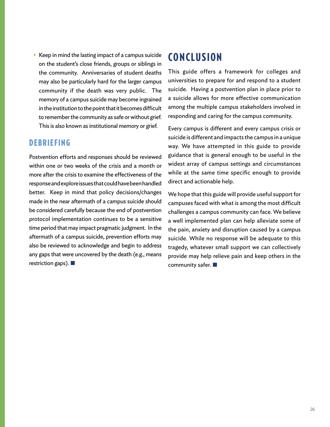• Keep in mind the lasting impact of a campus suicide on the student's close friends, groups or siblings in the community. Anniversaries of student deaths may also be particularly hard for the larger campus community if the death was very public. The memory of a campus suicide may become ingrained in the institution to the point that it becomes difficult to remember the community as safe or without grief. This is also known as institutional memory or grief.

# DEBRIEFING

Postvention efforts and responses should be reviewed within one or two weeks of the crisis and a month or more after the crisis to examine the effectiveness of the response and explore issues that could have been handled better. Keep in mind that policy decisions/changes made in the near aftermath of a campus suicide should be considered carefully because the end of postvention protocol implementation continues to be a sensitive time period that may impact pragmatic judgment. In the aftermath of a campus suicide, prevention efforts may also be reviewed to acknowledge and begin to address any gaps that were uncovered by the death (e.g., means restriction gaps). ■

# **CONCLUSION**

This guide offers a framework for colleges and universities to prepare for and respond to a student suicide. Having a postvention plan in place prior to a suicide allows for more effective communication among the multiple campus stakeholders involved in responding and caring for the campus community.

Every campus is different and every campus crisis or suicide is different and impacts the campus in a unique way. We have attempted in this guide to provide guidance that is general enough to be useful in the widest array of campus settings and circumstances while at the same time specific enough to provide direct and actionable help.

We hope that this guide will provide useful support for campuses faced with what is among the most difficult challenges a campus community can face. We believe a well implemented plan can help alleviate some of the pain, anxiety and disruption caused by a campus suicide. While no response will be adequate to this tragedy, whatever small support we can collectively provide may help relieve pain and keep others in the community safer. ■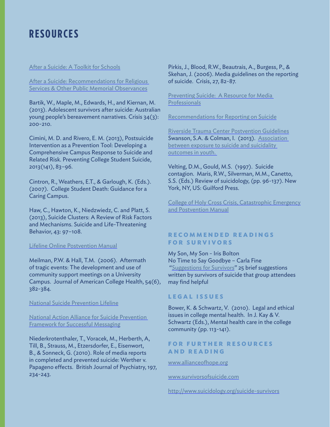# RESOURCES

#### [After a Suicide: A Toolkit for Schools](http://www.afsp.org/coping-with-suicide/education-training/after-a-suicide-a-toolkit-for-schools)

[After a Suicide: Recommendations for Religious](http://www.sprc.org/sites/sprc.org/files/library/aftersuicide.pdf)  [Services & Other Public Memorial Observances](http://www.sprc.org/sites/sprc.org/files/library/aftersuicide.pdf)

Bartik, W., Maple, M., Edwards, H., and Kiernan, M. (2013). Adolescent survivors after suicide: Australian young people's bereavement narratives. Crisis 34(3): 200-210.

Cimini, M. D. and Rivero, E. M. (2013), Postsuicide Intervention as a Prevention Tool: Developing a Comprehensive Campus Response to Suicide and Related Risk. Preventing College Student Suicide, 2013(141), 83–96.

Cintron, R., Weathers, E.T., & Garlough, K. (Eds.). (2007). College Student Death: Guidance for a Caring Campus.

Haw, C., Hawton, K., Niedzwiedz, C. and Platt, S. (2013), Suicide Clusters: A Review of Risk Factors and Mechanisms. Suicide and Life-Threatening Behavior, 43: 97–108.

### [Lifeline Online Postvention Manual](http://www.sprc.org/sites/sprc.org/files/library/LifelineOnlinePostventionManual.pdf)

Meilman, P.W. & Hall, T.M. (2006). Aftermath of tragic events: The development and use of community support meetings on a University Campus. Journal of American College Health, 54(6), 382-384.

[National Suicide Prevention Lifeline](http://www.suicidepreventionlifeline.org/)

[National Action Alliance for Suicide Prevention](http://suicidepreventionmessaging.actionallianceforsuicideprevention.org/safety)  [Framework for Successful Messaging](http://suicidepreventionmessaging.actionallianceforsuicideprevention.org/safety)

Niederkrotenthaler, T., Voracek, M., Herberth, A, Till, B., Strauss, M., Etzersdorfer, E., Eisenwort, B., & Sonneck, G. (2010). Role of media reports in completed and prevented suicide: Werther v. Papageno effects. British Journal of Psychiatry, 197, 234-243.

Pirkis, J., Blood, R.W., Beautrais, A., Burgess, P., & Skehan, J. (2006). Media guidelines on the reporting of suicide. Crisis, 27, 82-87.

[Preventing Suicide: A Resource for Media](http://www.who.int/mental_health/prevention/suicide/resource_media.pdf)  **[Professionals](http://www.who.int/mental_health/prevention/suicide/resource_media.pdf)** 

[Recommendations for Reporting on Suicide](http://reportingonsuicide.org/)

[Riverside Trauma Center Postvention Guidelines](http://www.riversidetraumacenter.org/documents/RiversideTraumaCenerPostventionGuidelines6_24_11.pdf) Swanson, S.A. & Colman, I. (2013). Association between exposure to suicide and suicidality [outcomes in youth.](http://www.cmaj.ca/content/early/2013/05/21/cmaj.121377) 

Velting, D.M., Gould, M.S. (1997). Suicide contagion. Maris, R.W., Silverman, M.M., Canetto, S.S. (Eds.) Review of suicidology, (pp. 96-137). New York, NY, US: Guilford Press.

[College of Holy Cross Crisis, Catastrophic Emergency](http://offices.holycross.edu/sites/all/modules/tinytinymce/tinymce/jscripts/tiny_mce/plugins/filemanager/files/emergency/PostventionManual2013-2014nno.pdf)  [and Postvention Manual](http://offices.holycross.edu/sites/all/modules/tinytinymce/tinymce/jscripts/tiny_mce/plugins/filemanager/files/emergency/PostventionManual2013-2014nno.pdf)

### **R E C O M M E N D E D R E A D I N G S FOR SURVIVORS**

My Son, My Son - Iris Bolton No Time to Say Goodbye – Carla Fine ["Suggestions for Survivors](http://www.fiercegoodbye.com/?P=52)" 25 brief suggestions written by survivors of suicide that group attendees may find helpful

### **LEGAL ISSUES**

Bower, K. & Schwartz, V. (2010). Legal and ethical issues in college mental health. In J. Kay & V. Schwartz (Eds.), Mental health care in the college community (pp. 113-141).

### **FOR FURTHER RESOURCES AND READING**

[www.allianceofhope.org](http://www.allianceofhope.org) 

[www.survivorsofsuicide.com](http://www.survivorsofsuicide.com)

<http://www.suicidology.org/suicide-survivors>